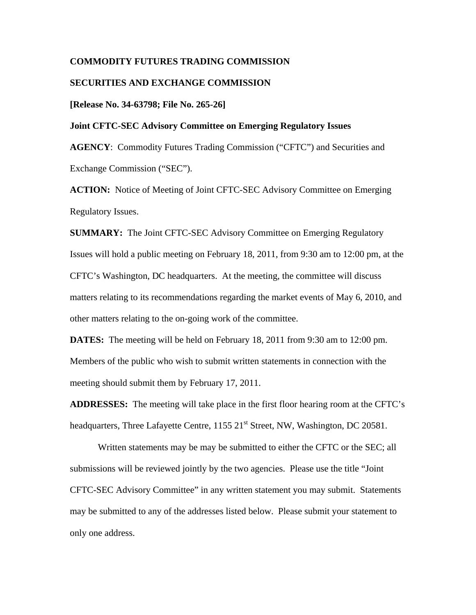### **COMMODITY FUTURES TRADING COMMISSION**

### **SECURITIES AND EXCHANGE COMMISSION**

### **[Release No. 34-63798; File No. 265-26]**

### **Joint CFTC-SEC Advisory Committee on Emerging Regulatory Issues**

**AGENCY**: Commodity Futures Trading Commission ("CFTC") and Securities and Exchange Commission ("SEC").

**ACTION:** Notice of Meeting of Joint CFTC-SEC Advisory Committee on Emerging Regulatory Issues.

**SUMMARY:** The Joint CFTC-SEC Advisory Committee on Emerging Regulatory Issues will hold a public meeting on February 18, 2011, from 9:30 am to 12:00 pm, at the CFTC's Washington, DC headquarters. At the meeting, the committee will discuss matters relating to its recommendations regarding the market events of May 6, 2010, and other matters relating to the on-going work of the committee.

**DATES:** The meeting will be held on February 18, 2011 from 9:30 am to 12:00 pm. Members of the public who wish to submit written statements in connection with the meeting should submit them by February 17, 2011.

**ADDRESSES:** The meeting will take place in the first floor hearing room at the CFTC's headquarters, Three Lafayette Centre, 1155 21<sup>st</sup> Street, NW, Washington, DC 20581.

Written statements may be may be submitted to either the CFTC or the SEC; all submissions will be reviewed jointly by the two agencies. Please use the title "Joint CFTC-SEC Advisory Committee" in any written statement you may submit. Statements may be submitted to any of the addresses listed below. Please submit your statement to only one address.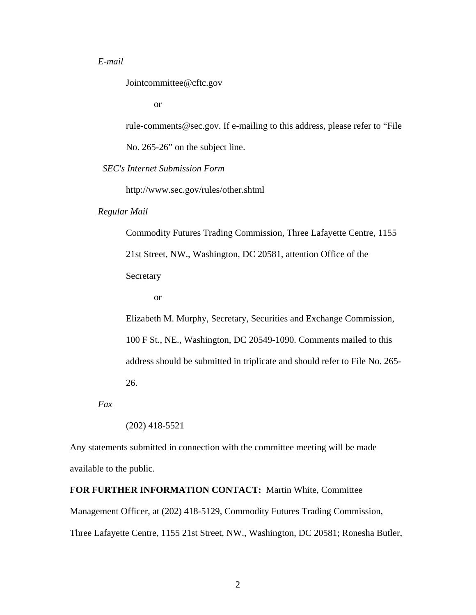# *E-mail*

Jointcommittee@cftc.gov

or

rule-comments@sec.gov. If e-mailing to this address, please refer to "File No. 265-26" on the subject line.

 *SEC's Internet Submission Form*

http://www.sec.gov/rules/other.shtml

### *Regular Mail*

Commodity Futures Trading Commission, Three Lafayette Centre, 1155 21st Street, NW., Washington, DC 20581, attention Office of the Secretary

or

Elizabeth M. Murphy, Secretary, Securities and Exchange Commission, 100 F St., NE., Washington, DC 20549-1090. Comments mailed to this address should be submitted in triplicate and should refer to File No. 265- 26.

*Fax* 

(202) 418-5521

Any statements submitted in connection with the committee meeting will be made available to the public.

#### **FOR FURTHER INFORMATION CONTACT:** Martin White, Committee

Management Officer, at (202) 418-5129, Commodity Futures Trading Commission,

Three Lafayette Centre, 1155 21st Street, NW., Washington, DC 20581; Ronesha Butler,